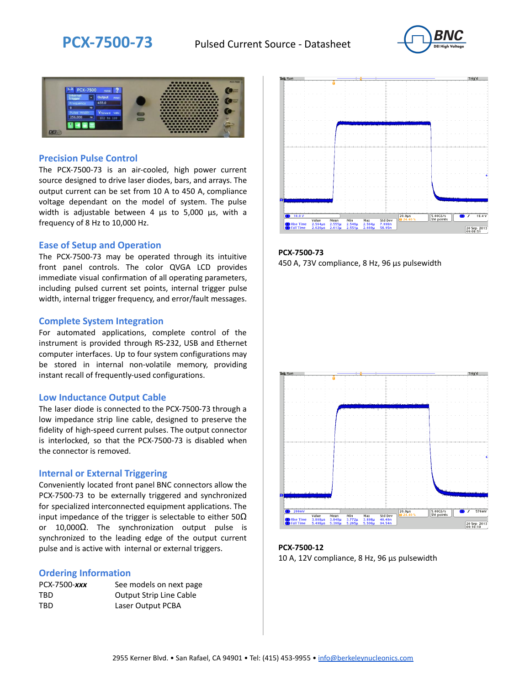



### **Precision Pulse Control**

The PCX-7500-73 is an air-cooled, high power current source designed to drive laser diodes, bars, and arrays. The output current can be set from 10 A to 450 A, compliance voltage dependant on the model of system. The pulse width is adjustable between 4 µs to 5,000 µs, with a frequency of 8 Hz to 10,000 Hz.

#### **Ease of Setup and Operation**

The PCX-7500-73 may be operated through its intuitive front panel controls. The color QVGA LCD provides immediate visual confirmation of all operating parameters, including pulsed current set points, internal trigger pulse width, internal trigger frequency, and error/fault messages.

#### **Complete System Integration**

For automated applications, complete control of the instrument is provided through RS-232, USB and Ethernet computer interfaces. Up to four system configurations may be stored in internal non-volatile memory, providing instant recall of frequently-used configurations.

#### **Low Inductance Output Cable**

The laser diode is connected to the PCX-7500-73 through a low impedance strip line cable, designed to preserve the fidelity of high-speed current pulses. The output connector is interlocked, so that the PCX-7500-73 is disabled when the connector is removed.

#### **Internal or External Triggering**

Conveniently located front panel BNC connectors allow the PCX-7500-73 to be externally triggered and synchronized for specialized interconnected equipment applications. The input impedance of the trigger is selectable to either  $50\Omega$ or 10,000Ω. The synchronization output pulse is synchronized to the leading edge of the output current pulse and is active with internal or external triggers.

#### **Ordering Information**

| PCX-7500-xxx | See models on next page        |
|--------------|--------------------------------|
| TBD          | <b>Output Strip Line Cable</b> |
| TBD          | Laser Output PCBA              |



**PCX-7500-73** 450 A, 73V compliance, 8 Hz, 96 µs pulsewidth



**PCX-7500-12** 10 A, 12V compliance, 8 Hz, 96 μs pulsewidth